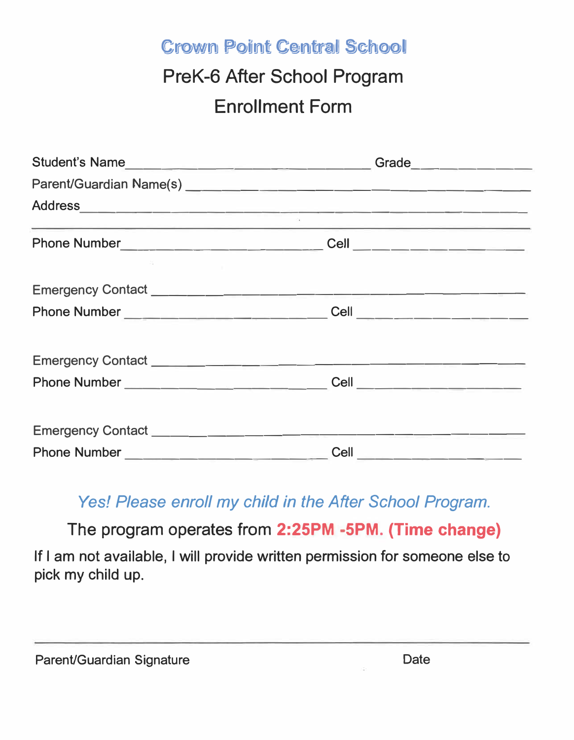Crown Point Central School

## PreK-6 After School Program Enrollment Form

| <u> 1980 - Andrea Stadt Britain, amerikansk politik (d. 1980)</u> |                                       |  |
|-------------------------------------------------------------------|---------------------------------------|--|
|                                                                   |                                       |  |
|                                                                   |                                       |  |
|                                                                   |                                       |  |
|                                                                   |                                       |  |
|                                                                   |                                       |  |
|                                                                   | <b>Cell</b> _________________________ |  |

## *Yes! Please enroll my child in the After School Program.*

The program operates from **2:25PM -5PM. (Time change)** 

If I am not available, I will provide written permission for someone else to pick my child up.

| Parent/Guardian Signature | Date |
|---------------------------|------|
|---------------------------|------|